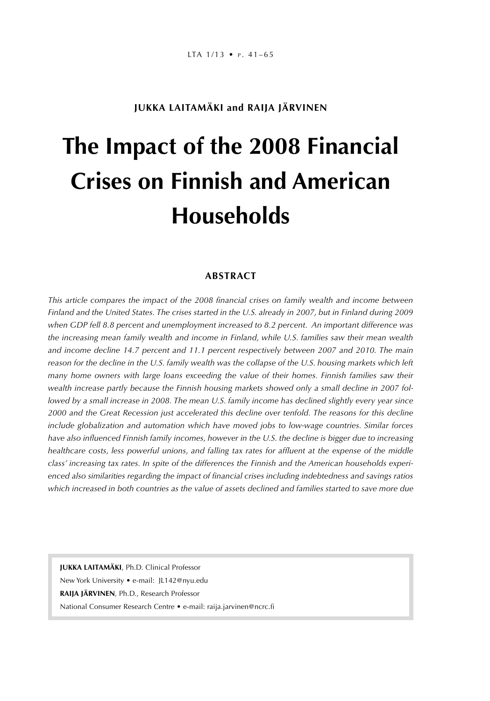# **JUKKA LAITAMÄKI and RAIJA JÄRVINEN**

# **The Impact of the 2008 Financial Crises on Finnish and American Households**

#### **ABSTRACT**

*This article compares the impact of the 2008 financial crises on family wealth and income between Finland and the United States. The crises started in the U.S. already in 2007, but in Finland during 2009 when GDP fell 8.8 percent and unemployment increased to 8.2 percent. An important difference was the increasing mean family wealth and income in Finland, while U.S. families saw their mean wealth and income decline 14.7 percent and 11.1 percent respectively between 2007 and 2010. The main reason for the decline in the U.S. family wealth was the collapse of the U.S. housing markets which left many home owners with large loans exceeding the value of their homes. Finnish families saw their wealth increase partly because the Finnish housing markets showed only a small decline in 2007 followed by a small increase in 2008. The mean U.S. family income has declined slightly every year since 2000 and the Great Recession just accelerated this decline over tenfold. The reasons for this decline include globalization and automation which have moved jobs to low-wage countries. Similar forces have also influenced Finnish family incomes, however in the U.S. the decline is bigger due to increasing healthcare costs, less powerful unions, and falling tax rates for affluent at the expense of the middle class' increasing tax rates. In spite of the differences the Finnish and the American households experienced also similarities regarding the impact of financial crises including indebtedness and savings ratios which increased in both countries as the value of assets declined and families started to save more due* 

**JUKKA LAITAMÄKI**, Ph.D. Clinical Professor New York University • e-mail: JL142@nyu.edu **RAIJA JÄRVINEN**, Ph.D., Research Professor National Consumer Research Centre • e-mail: raija.jarvinen@ncrc.fi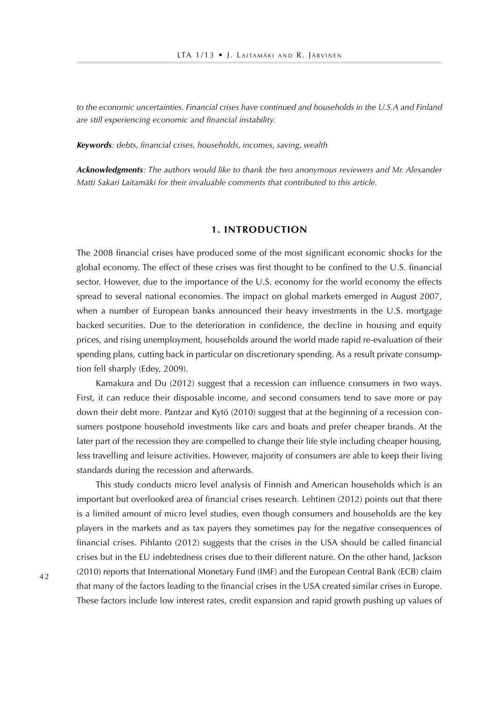*to the economic uncertainties. Financial crises have continued and households in the U.S.A and Finland are still experiencing economic and financial instability.*

*Keywords: debts, financial crises, households, incomes, saving, wealth* 

*Acknowledgments: The authors would like to thank the two anonymous reviewers and Mr. Alexander Matti Sakari Laitamäki for their invaluable comments that contributed to this article.*

#### **1. INTRODUCTION**

The 2008 financial crises have produced some of the most significant economic shocks for the global economy. The effect of these crises was first thought to be confined to the U.S. financial sector. However, due to the importance of the U.S. economy for the world economy the effects spread to several national economies. The impact on global markets emerged in August 2007, when a number of European banks announced their heavy investments in the U.S. mortgage backed securities. Due to the deterioration in confidence, the decline in housing and equity prices, and rising unemployment, households around the world made rapid re-evaluation of their spending plans, cutting back in particular on discretionary spending. As a result private consumption fell sharply (Edey, 2009).

Kamakura and Du (2012) suggest that a recession can influence consumers in two ways. First, it can reduce their disposable income, and second consumers tend to save more or pay down their debt more. Pantzar and Kytö (2010) suggest that at the beginning of a recession consumers postpone household investments like cars and boats and prefer cheaper brands. At the later part of the recession they are compelled to change their life style including cheaper housing, less travelling and leisure activities. However, majority of consumers are able to keep their living standards during the recession and afterwards.

This study conducts micro level analysis of Finnish and American households which is an important but overlooked area of financial crises research. Lehtinen (2012) points out that there is a limited amount of micro level studies, even though consumers and households are the key players in the markets and as tax payers they sometimes pay for the negative consequences of financial crises. Pihlanto (2012) suggests that the crises in the USA should be called financial crises but in the EU indebtedness crises due to their different nature. On the other hand, Jackson (2010) reports that International Monetary Fund (IMF) and the European Central Bank (ECB) claim that many of the factors leading to the financial crises in the USA created similar crises in Europe. These factors include low interest rates, credit expansion and rapid growth pushing up values of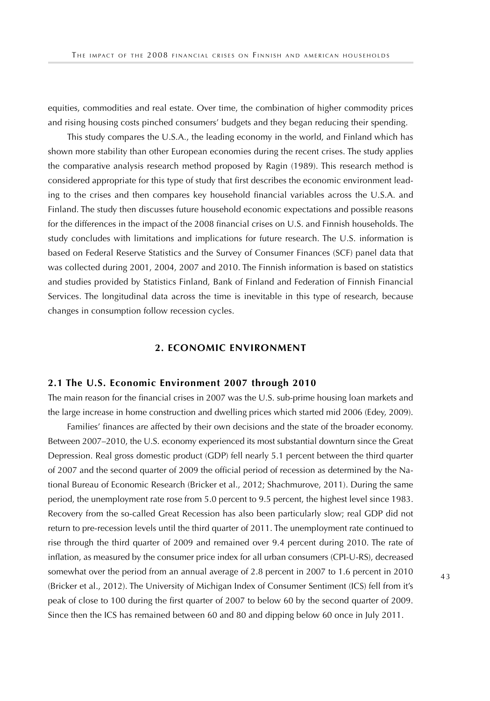equities, commodities and real estate. Over time, the combination of higher commodity prices and rising housing costs pinched consumers' budgets and they began reducing their spending.

This study compares the U.S.A., the leading economy in the world, and Finland which has shown more stability than other European economies during the recent crises. The study applies the comparative analysis research method proposed by Ragin (1989). This research method is considered appropriate for this type of study that first describes the economic environment leading to the crises and then compares key household financial variables across the U.S.A. and Finland. The study then discusses future household economic expectations and possible reasons for the differences in the impact of the 2008 financial crises on U.S. and Finnish households. The study concludes with limitations and implications for future research. The U.S. information is based on Federal Reserve Statistics and the Survey of Consumer Finances (SCF) panel data that was collected during 2001, 2004, 2007 and 2010. The Finnish information is based on statistics and studies provided by Statistics Finland, Bank of Finland and Federation of Finnish Financial Services. The longitudinal data across the time is inevitable in this type of research, because changes in consumption follow recession cycles.

#### **2. ECONOMIC ENVIRONMENT**

#### **2.1 The U.S. Economic Environment 2007 through 2010**

The main reason for the financial crises in 2007 was the U.S. sub-prime housing loan markets and the large increase in home construction and dwelling prices which started mid 2006 (Edey, 2009).

Families' finances are affected by their own decisions and the state of the broader economy. Between 2007–2010, the U.S. economy experienced its most substantial downturn since the Great Depression. Real gross domestic product (GDP) fell nearly 5.1 percent between the third quarter of 2007 and the second quarter of 2009 the official period of recession as determined by the National Bureau of Economic Research (Bricker et al., 2012; Shachmurove, 2011). During the same period, the unemployment rate rose from 5.0 percent to 9.5 percent, the highest level since 1983. Recovery from the so-called Great Recession has also been particularly slow; real GDP did not return to pre-recession levels until the third quarter of 2011. The unemployment rate continued to rise through the third quarter of 2009 and remained over 9.4 percent during 2010. The rate of inflation, as measured by the consumer price index for all urban consumers (CPI-U-RS), decreased somewhat over the period from an annual average of 2.8 percent in 2007 to 1.6 percent in 2010 (Bricker et al., 2012). The University of Michigan Index of Consumer Sentiment (ICS) fell from it's peak of close to 100 during the first quarter of 2007 to below 60 by the second quarter of 2009. Since then the ICS has remained between 60 and 80 and dipping below 60 once in July 2011.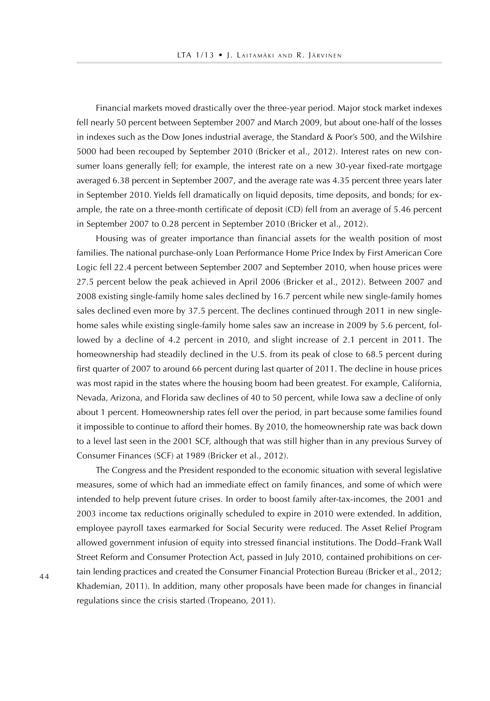Financial markets moved drastically over the three-year period. Major stock market indexes fell nearly 50 percent between September 2007 and March 2009, but about one-half of the losses in indexes such as the Dow Jones industrial average, the Standard & Poor's 500, and the Wilshire 5000 had been recouped by September 2010 (Bricker et al., 2012). Interest rates on new consumer loans generally fell; for example, the interest rate on a new 30-year fixed-rate mortgage averaged 6.38 percent in September 2007, and the average rate was 4.35 percent three years later in September 2010. Yields fell dramatically on liquid deposits, time deposits, and bonds; for example, the rate on a three-month certificate of deposit (CD) fell from an average of 5.46 percent in September 2007 to 0.28 percent in September 2010 (Bricker et al., 2012).

Housing was of greater importance than financial assets for the wealth position of most families. The national purchase-only Loan Performance Home Price Index by First American Core Logic fell 22.4 percent between September 2007 and September 2010, when house prices were 27.5 percent below the peak achieved in April 2006 (Bricker et al., 2012). Between 2007 and 2008 existing single-family home sales declined by 16.7 percent while new single-family homes sales declined even more by 37.5 percent. The declines continued through 2011 in new singlehome sales while existing single-family home sales saw an increase in 2009 by 5.6 percent, followed by a decline of 4.2 percent in 2010, and slight increase of 2.1 percent in 2011. The homeownership had steadily declined in the U.S. from its peak of close to 68.5 percent during first quarter of 2007 to around 66 percent during last quarter of 2011. The decline in house prices was most rapid in the states where the housing boom had been greatest. For example, California, Nevada, Arizona, and Florida saw declines of 40 to 50 percent, while Iowa saw a decline of only about 1 percent. Homeownership rates fell over the period, in part because some families found it impossible to continue to afford their homes. By 2010, the homeownership rate was back down to a level last seen in the 2001 SCF, although that was still higher than in any previous Survey of Consumer Finances (SCF) at 1989 (Bricker et al., 2012).

The Congress and the President responded to the economic situation with several legislative measures, some of which had an immediate effect on family finances, and some of which were intended to help prevent future crises. In order to boost family after-tax-incomes, the 2001 and 2003 income tax reductions originally scheduled to expire in 2010 were extended. In addition, employee payroll taxes earmarked for Social Security were reduced. The Asset Relief Program allowed government infusion of equity into stressed financial institutions. The Dodd–Frank Wall Street Reform and Consumer Protection Act, passed in July 2010, contained prohibitions on certain lending practices and created the Consumer Financial Protection Bureau (Bricker et al., 2012; Khademian, 2011). In addition, many other proposals have been made for changes in financial regulations since the crisis started (Tropeano, 2011).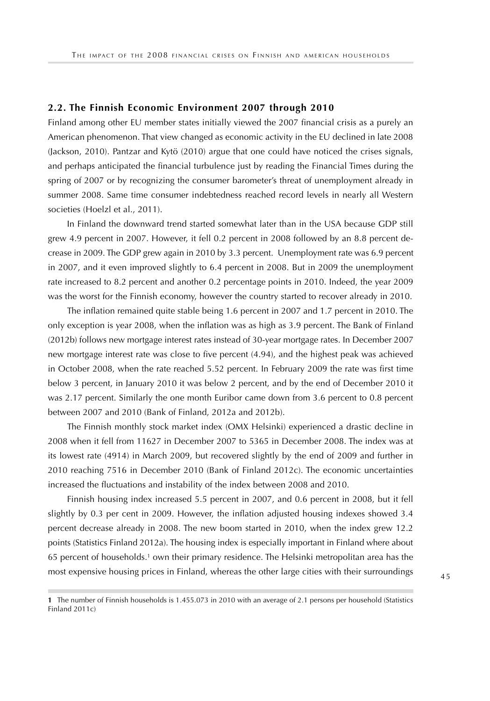#### **2.2. The Finnish Economic Environment 2007 through 2010**

Finland among other EU member states initially viewed the 2007 financial crisis as a purely an American phenomenon. That view changed as economic activity in the EU declined in late 2008 (Jackson, 2010). Pantzar and Kytö (2010) argue that one could have noticed the crises signals, and perhaps anticipated the financial turbulence just by reading the Financial Times during the spring of 2007 or by recognizing the consumer barometer's threat of unemployment already in summer 2008. Same time consumer indebtedness reached record levels in nearly all Western societies (Hoelzl et al., 2011).

In Finland the downward trend started somewhat later than in the USA because GDP still grew 4.9 percent in 2007. However, it fell 0.2 percent in 2008 followed by an 8.8 percent decrease in 2009. The GDP grew again in 2010 by 3.3 percent. Unemployment rate was 6.9 percent in 2007, and it even improved slightly to 6.4 percent in 2008. But in 2009 the unemployment rate increased to 8.2 percent and another 0.2 percentage points in 2010. Indeed, the year 2009 was the worst for the Finnish economy, however the country started to recover already in 2010.

The inflation remained quite stable being 1.6 percent in 2007 and 1.7 percent in 2010. The only exception is year 2008, when the inflation was as high as 3.9 percent. The Bank of Finland (2012b) follows new mortgage interest rates instead of 30-year mortgage rates. In December 2007 new mortgage interest rate was close to five percent (4.94), and the highest peak was achieved in October 2008, when the rate reached 5.52 percent. In February 2009 the rate was first time below 3 percent, in January 2010 it was below 2 percent, and by the end of December 2010 it was 2.17 percent. Similarly the one month Euribor came down from 3.6 percent to 0.8 percent between 2007 and 2010 (Bank of Finland, 2012a and 2012b).

The Finnish monthly stock market index (OMX Helsinki) experienced a drastic decline in 2008 when it fell from 11627 in December 2007 to 5365 in December 2008. The index was at its lowest rate (4914) in March 2009, but recovered slightly by the end of 2009 and further in 2010 reaching 7516 in December 2010 (Bank of Finland 2012c). The economic uncertainties increased the fluctuations and instability of the index between 2008 and 2010.

Finnish housing index increased 5.5 percent in 2007, and 0.6 percent in 2008, but it fell slightly by 0.3 per cent in 2009. However, the inflation adjusted housing indexes showed 3.4 percent decrease already in 2008. The new boom started in 2010, when the index grew 12.2 points (Statistics Finland 2012a). The housing index is especially important in Finland where about 65 percent of households.1 own their primary residence. The Helsinki metropolitan area has the most expensive housing prices in Finland, whereas the other large cities with their surroundings

**<sup>1</sup>** The number of Finnish households is 1.455.073 in 2010 with an average of 2.1 persons per household (Statistics Finland 2011c)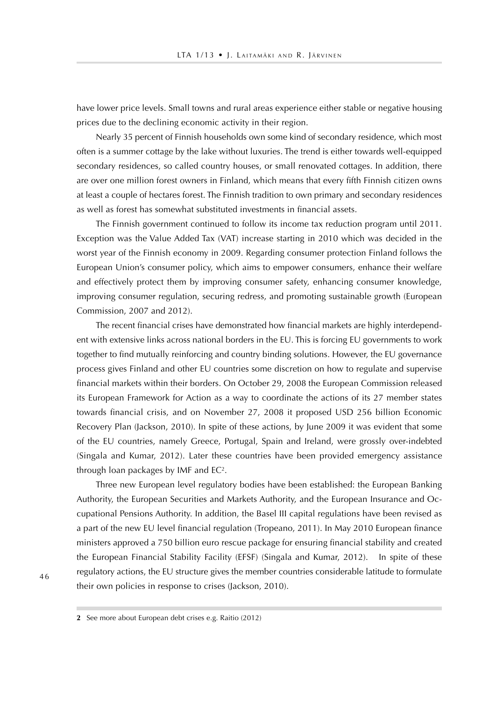have lower price levels. Small towns and rural areas experience either stable or negative housing prices due to the declining economic activity in their region.

Nearly 35 percent of Finnish households own some kind of secondary residence, which most often is a summer cottage by the lake without luxuries. The trend is either towards well-equipped secondary residences, so called country houses, or small renovated cottages. In addition, there are over one million forest owners in Finland, which means that every fifth Finnish citizen owns at least a couple of hectares forest. The Finnish tradition to own primary and secondary residences as well as forest has somewhat substituted investments in financial assets.

The Finnish government continued to follow its income tax reduction program until 2011. Exception was the Value Added Tax (VAT) increase starting in 2010 which was decided in the worst year of the Finnish economy in 2009. Regarding consumer protection Finland follows the European Union's consumer policy, which aims to empower consumers, enhance their welfare and effectively protect them by improving consumer safety, enhancing consumer knowledge, improving consumer regulation, securing redress, and promoting sustainable growth (European Commission, 2007 and 2012).

The recent financial crises have demonstrated how financial markets are highly interdependent with extensive links across national borders in the EU. This is forcing EU governments to work together to find mutually reinforcing and country binding solutions. However, the EU governance process gives Finland and other EU countries some discretion on how to regulate and supervise financial markets within their borders. On October 29, 2008 the European Commission released its European Framework for Action as a way to coordinate the actions of its 27 member states towards financial crisis, and on November 27, 2008 it proposed USD 256 billion Economic Recovery Plan (Jackson, 2010). In spite of these actions, by June 2009 it was evident that some of the EU countries, namely Greece, Portugal, Spain and Ireland, were grossly over-indebted (Singala and Kumar, 2012). Later these countries have been provided emergency assistance through loan packages by IMF and EC2.

Three new European level regulatory bodies have been established: the European Banking Authority, the European Securities and Markets Authority, and the European Insurance and Occupational Pensions Authority. In addition, the Basel III capital regulations have been revised as a part of the new EU level financial regulation (Tropeano, 2011). In May 2010 European finance ministers approved a 750 billion euro rescue package for ensuring financial stability and created the European Financial Stability Facility (EFSF) (Singala and Kumar, 2012). In spite of these regulatory actions, the EU structure gives the member countries considerable latitude to formulate their own policies in response to crises (Jackson, 2010).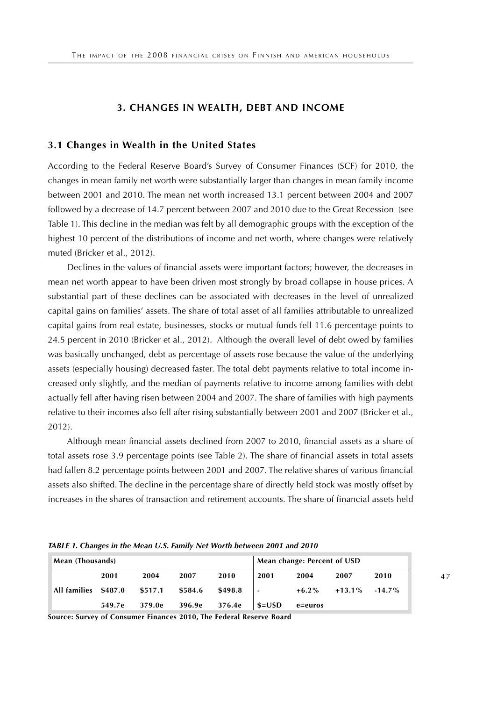#### **3. CHANGES IN WEALTH, DEBT AND INCOME**

#### **3.1 Changes in Wealth in the United States**

According to the Federal Reserve Board's Survey of Consumer Finances (SCF) for 2010, the changes in mean family net worth were substantially larger than changes in mean family income between 2001 and 2010. The mean net worth increased 13.1 percent between 2004 and 2007 followed by a decrease of 14.7 percent between 2007 and 2010 due to the Great Recession (see Table 1). This decline in the median was felt by all demographic groups with the exception of the highest 10 percent of the distributions of income and net worth, where changes were relatively muted (Bricker et al., 2012).

Declines in the values of financial assets were important factors; however, the decreases in mean net worth appear to have been driven most strongly by broad collapse in house prices. A substantial part of these declines can be associated with decreases in the level of unrealized capital gains on families' assets. The share of total asset of all families attributable to unrealized capital gains from real estate, businesses, stocks or mutual funds fell 11.6 percentage points to 24.5 percent in 2010 (Bricker et al., 2012). Although the overall level of debt owed by families was basically unchanged, debt as percentage of assets rose because the value of the underlying assets (especially housing) decreased faster. The total debt payments relative to total income increased only slightly, and the median of payments relative to income among families with debt actually fell after having risen between 2004 and 2007. The share of families with high payments relative to their incomes also fell after rising substantially between 2001 and 2007 (Bricker et al., 2012).

Although mean financial assets declined from 2007 to 2010, financial assets as a share of total assets rose 3.9 percentage points (see Table 2). The share of financial assets in total assets had fallen 8.2 percentage points between 2001 and 2007. The relative shares of various financial assets also shifted. The decline in the percentage share of directly held stock was mostly offset by increases in the shares of transaction and retirement accounts. The share of financial assets held

*TABLE 1. Changes in the Mean U.S. Family Net Worth between 2001 and 2010*

| Mean (Thousands)     |        |         |         | Mean change: Percent of USD |                          |              |           |           |
|----------------------|--------|---------|---------|-----------------------------|--------------------------|--------------|-----------|-----------|
|                      | 2001   | 2004    | 2007    | 2010                        | 2001                     | 2004         | 2007      | 2010      |
| All families \$487.0 |        | \$517.1 | \$584.6 | \$498.8                     | $\overline{\phantom{a}}$ | $+6.2\%$     | $+13.1\%$ | $-14.7\%$ |
|                      | 549.7e | 379.0e  | 396.9e  | 376.4e                      | $$=$ USD                 | $e = e$ uros |           |           |

**Source: Survey of Consumer Finances 2010, The Federal Reserve Board**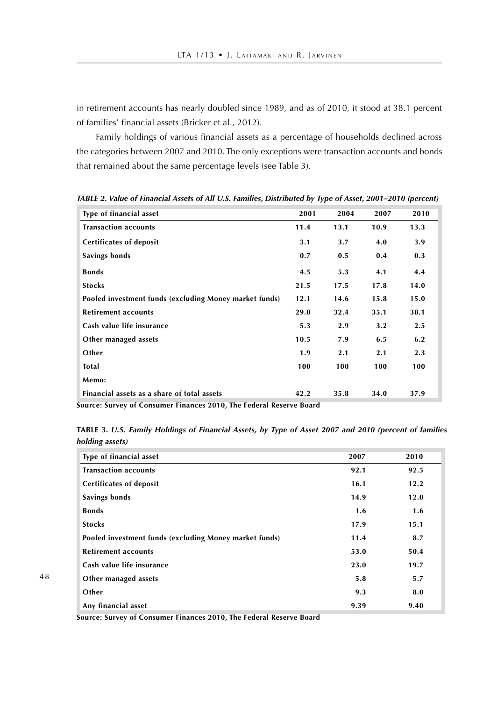in retirement accounts has nearly doubled since 1989, and as of 2010, it stood at 38.1 percent of families' financial assets (Bricker et al., 2012).

Family holdings of various financial assets as a percentage of households declined across the categories between 2007 and 2010. The only exceptions were transaction accounts and bonds that remained about the same percentage levels (see Table 3).

| Type of financial asset                                | 2001 | 2004 | 2007 | 2010 |
|--------------------------------------------------------|------|------|------|------|
| <b>Transaction accounts</b>                            | 11.4 | 13.1 | 10.9 | 13.3 |
| <b>Certificates of deposit</b>                         | 3.1  | 3.7  | 4.0  | 3.9  |
| Savings bonds                                          | 0.7  | 0.5  | 0.4  | 0.3  |
| <b>Bonds</b>                                           | 4.5  | 5.3  | 4.1  | 4.4  |
| <b>Stocks</b>                                          | 21.5 | 17.5 | 17.8 | 14.0 |
| Pooled investment funds (excluding Money market funds) | 12.1 | 14.6 | 15.8 | 15.0 |
| <b>Retirement accounts</b>                             | 29.0 | 32.4 | 35.1 | 38.1 |
| Cash value life insurance                              | 5.3  | 2.9  | 3.2  | 2.5  |
| Other managed assets                                   | 10.5 | 7.9  | 6.5  | 6.2  |
| Other                                                  | 1.9  | 2.1  | 2.1  | 2.3  |
| <b>Total</b>                                           | 100  | 100  | 100  | 100  |
| Memo:                                                  |      |      |      |      |
| Financial assets as a share of total assets            | 42.2 | 35.8 | 34.0 | 37.9 |

*TABLE 2. Value of Financial Assets of All U.S. Families, Distributed by Type of Asset, 2001–2010 (percent)*

**Source: Survey of Consumer Finances 2010, The Federal Reserve Board** 

**TABLE 3.** *U.S. Family Holdings of Financial Assets, by Type of Asset 2007 and 2010 (percent of families holding assets)*

| Type of financial asset                                | 2007 | 2010 |
|--------------------------------------------------------|------|------|
| <b>Transaction accounts</b>                            | 92.1 | 92.5 |
| <b>Certificates of deposit</b>                         | 16.1 | 12.2 |
| Savings bonds                                          | 14.9 | 12.0 |
| <b>Bonds</b>                                           | 1.6  | 1.6  |
| <b>Stocks</b>                                          | 17.9 | 15.1 |
| Pooled investment funds (excluding Money market funds) | 11.4 | 8.7  |
| <b>Retirement accounts</b>                             | 53.0 | 50.4 |
| Cash value life insurance                              | 23.0 | 19.7 |
| Other managed assets                                   | 5.8  | 5.7  |
| Other                                                  | 9.3  | 8.0  |
| Any financial asset                                    | 9.39 | 9.40 |

**Source: Survey of Consumer Finances 2010, The Federal Reserve Board**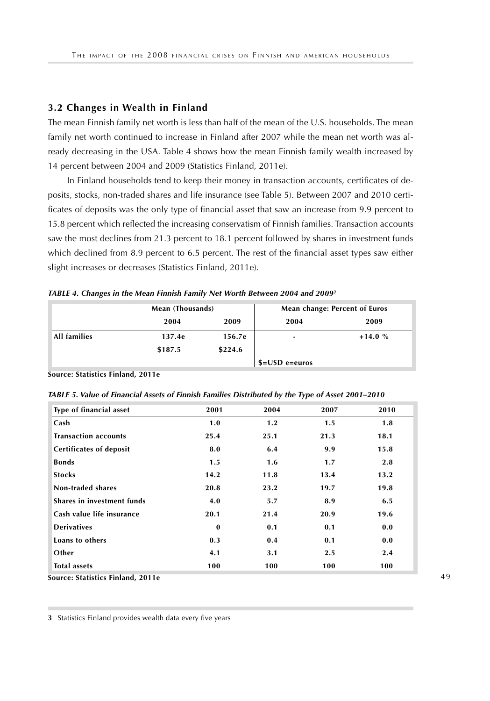## **3.2 Changes in Wealth in Finland**

The mean Finnish family net worth is less than half of the mean of the U.S. households. The mean family net worth continued to increase in Finland after 2007 while the mean net worth was already decreasing in the USA. Table 4 shows how the mean Finnish family wealth increased by 14 percent between 2004 and 2009 (Statistics Finland, 2011e).

In Finland households tend to keep their money in transaction accounts, certificates of deposits, stocks, non-traded shares and life insurance (see Table 5). Between 2007 and 2010 certificates of deposits was the only type of financial asset that saw an increase from 9.9 percent to 15.8 percent which reflected the increasing conservatism of Finnish families. Transaction accounts saw the most declines from 21.3 percent to 18.1 percent followed by shares in investment funds which declined from 8.9 percent to 6.5 percent. The rest of the financial asset types saw either slight increases or decreases (Statistics Finland, 2011e).

|              |         | Mean (Thousands) |                  | Mean change: Percent of Euros |
|--------------|---------|------------------|------------------|-------------------------------|
|              | 2004    | 2009             | 2004             | 2009                          |
| All families | 137.4e  | 156.7e           | ٠                | $+14.0%$                      |
|              | \$187.5 | \$224.6          |                  |                               |
|              |         |                  | $$=$ USD e=euros |                               |

*TABLE 4. Changes in the Mean Finnish Family Net Worth Between 2004 and 20093* 

**Source: Statistics Finland, 2011e** 

*TABLE 5. Value of Financial Assets of Finnish Families Distributed by the Type of Asset 2001–2010* 

| Type of financial asset        | 2001         | 2004 | 2007 | 2010 |
|--------------------------------|--------------|------|------|------|
| Cash                           | 1.0          | 1.2  | 1.5  | 1.8  |
| <b>Transaction accounts</b>    | 25.4         | 25.1 | 21.3 | 18.1 |
| <b>Certificates of deposit</b> | 8.0          | 6.4  | 9.9  | 15.8 |
| <b>Bonds</b>                   | 1.5          | 1.6  | 1.7  | 2.8  |
| <b>Stocks</b>                  | 14.2         | 11.8 | 13.4 | 13.2 |
| Non-traded shares              | 20.8         | 23.2 | 19.7 | 19.8 |
| Shares in investment funds     | 4.0          | 5.7  | 8.9  | 6.5  |
| Cash value life insurance      | 20.1         | 21.4 | 20.9 | 19.6 |
| <b>Derivatives</b>             | $\mathbf{0}$ | 0.1  | 0.1  | 0.0  |
| Loans to others                | 0.3          | 0.4  | 0.1  | 0.0  |
| Other                          | 4.1          | 3.1  | 2.5  | 2.4  |
| <b>Total assets</b>            | 100          | 100  | 100  | 100  |

**Source: Statistics Finland, 2011e** 

**3** Statistics Finland provides wealth data every five years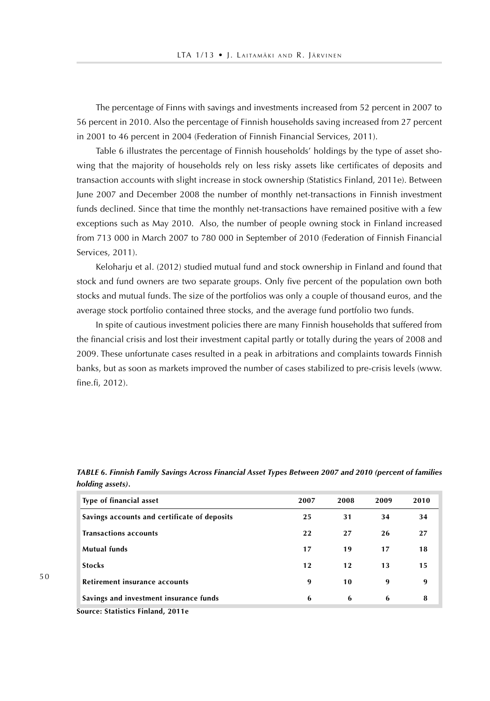The percentage of Finns with savings and investments increased from 52 percent in 2007 to 56 percent in 2010. Also the percentage of Finnish households saving increased from 27 percent in 2001 to 46 percent in 2004 (Federation of Finnish Financial Services, 2011).

Table 6 illustrates the percentage of Finnish households' holdings by the type of asset showing that the majority of households rely on less risky assets like certificates of deposits and transaction accounts with slight increase in stock ownership (Statistics Finland, 2011e). Between June 2007 and December 2008 the number of monthly net-transactions in Finnish investment funds declined. Since that time the monthly net-transactions have remained positive with a few exceptions such as May 2010. Also, the number of people owning stock in Finland increased from 713 000 in March 2007 to 780 000 in September of 2010 (Federation of Finnish Financial Services, 2011).

Keloharju et al. (2012) studied mutual fund and stock ownership in Finland and found that stock and fund owners are two separate groups. Only five percent of the population own both stocks and mutual funds. The size of the portfolios was only a couple of thousand euros, and the average stock portfolio contained three stocks, and the average fund portfolio two funds.

In spite of cautious investment policies there are many Finnish households that suffered from the financial crisis and lost their investment capital partly or totally during the years of 2008 and 2009. These unfortunate cases resulted in a peak in arbitrations and complaints towards Finnish banks, but as soon as markets improved the number of cases stabilized to pre-crisis levels (www. fine.fi, 2012).

| Type of financial asset                      | 2007 | 2008 | 2009 | 2010 |
|----------------------------------------------|------|------|------|------|
| Savings accounts and certificate of deposits | 25   | 31   | 34   | 34   |
| <b>Transactions accounts</b>                 | 22   | 27   | 26   | 27   |
| Mutual funds                                 | 17   | 19   | 17   | 18   |
| <b>Stocks</b>                                | 12   | 12   | 13   | 15   |
| Retirement insurance accounts                | 9    | 10   | 9    | 9    |
| Savings and investment insurance funds       | 6    | -6   | 6    | 8    |

*TABLE 6. Finnish Family Savings Across Financial Asset Types Between 2007 and 2010 (percent of families holding assets).* 

**Source: Statistics Finland, 2011e**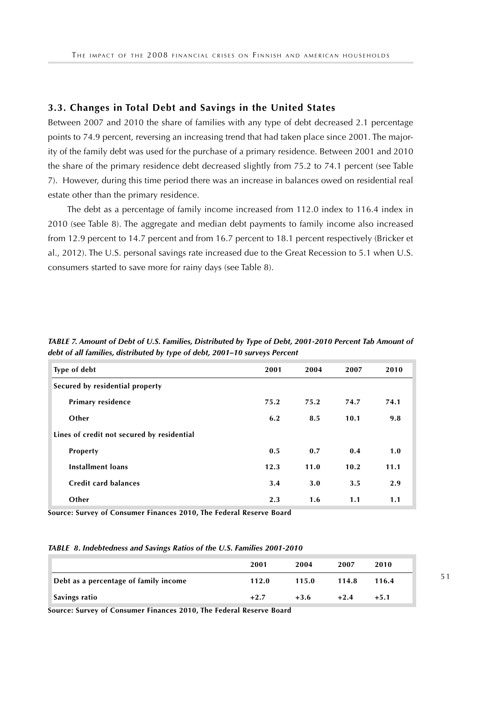## **3.3. Changes in Total Debt and Savings in the United States**

Between 2007 and 2010 the share of families with any type of debt decreased 2.1 percentage points to 74.9 percent, reversing an increasing trend that had taken place since 2001. The majority of the family debt was used for the purchase of a primary residence. Between 2001 and 2010 the share of the primary residence debt decreased slightly from 75.2 to 74.1 percent (see Table 7). However, during this time period there was an increase in balances owed on residential real estate other than the primary residence.

The debt as a percentage of family income increased from 112.0 index to 116.4 index in 2010 (see Table 8). The aggregate and median debt payments to family income also increased from 12.9 percent to 14.7 percent and from 16.7 percent to 18.1 percent respectively (Bricker et al., 2012). The U.S. personal savings rate increased due to the Great Recession to 5.1 when U.S. consumers started to save more for rainy days (see Table 8).

| TABLE 7. Amount of Debt of U.S. Families, Distributed by Type of Debt, 2001-2010 Percent Tab Amount of |
|--------------------------------------------------------------------------------------------------------|
| debt of all families, distributed by type of debt, 2001–10 surveys Percent                             |

| Type of debt                               | 2001 | 2004 | 2007 | 2010 |
|--------------------------------------------|------|------|------|------|
| Secured by residential property            |      |      |      |      |
| Primary residence                          | 75.2 | 75.2 | 74.7 | 74.1 |
| Other                                      | 6.2  | 8.5  | 10.1 | 9.8  |
| Lines of credit not secured by residential |      |      |      |      |
| Property                                   | 0.5  | 0.7  | 0.4  | 1.0  |
| <b>Installment loans</b>                   | 12.3 | 11.0 | 10.2 | 11.1 |
| Credit card balances                       | 3.4  | 3.0  | 3.5  | 2.9  |
| Other                                      | 2.3  | 1.6  | 1.1  | 1.1  |

**Source: Survey of Consumer Finances 2010, The Federal Reserve Board** 

#### *TABLE 8. Indebtedness and Savings Ratios of the U.S. Families 2001-2010*

|                                       | 2001   | 2004   | 2007   | 2010   |
|---------------------------------------|--------|--------|--------|--------|
| Debt as a percentage of family income | 112.0  | 115.0  | 114.8  | 116.4  |
| Savings ratio                         | $+2.7$ | $+3.6$ | $+2.4$ | $+5.1$ |

**Source: Survey of Consumer Finances 2010, The Federal Reserve Board**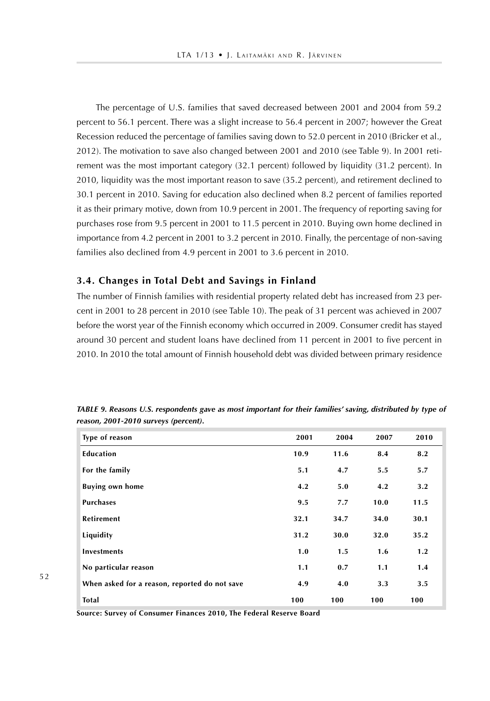The percentage of U.S. families that saved decreased between 2001 and 2004 from 59.2 percent to 56.1 percent. There was a slight increase to 56.4 percent in 2007; however the Great Recession reduced the percentage of families saving down to 52.0 percent in 2010 (Bricker et al., 2012). The motivation to save also changed between 2001 and 2010 (see Table 9). In 2001 retirement was the most important category (32.1 percent) followed by liquidity (31.2 percent). In 2010, liquidity was the most important reason to save (35.2 percent), and retirement declined to 30.1 percent in 2010. Saving for education also declined when 8.2 percent of families reported it as their primary motive, down from 10.9 percent in 2001. The frequency of reporting saving for purchases rose from 9.5 percent in 2001 to 11.5 percent in 2010. Buying own home declined in importance from 4.2 percent in 2001 to 3.2 percent in 2010. Finally, the percentage of non-saving families also declined from 4.9 percent in 2001 to 3.6 percent in 2010.

#### **3.4. Changes in Total Debt and Savings in Finland**

The number of Finnish families with residential property related debt has increased from 23 percent in 2001 to 28 percent in 2010 (see Table 10). The peak of 31 percent was achieved in 2007 before the worst year of the Finnish economy which occurred in 2009. Consumer credit has stayed around 30 percent and student loans have declined from 11 percent in 2001 to five percent in 2010. In 2010 the total amount of Finnish household debt was divided between primary residence

| Type of reason                                | 2001 | 2004 | 2007 | 2010 |
|-----------------------------------------------|------|------|------|------|
| Education                                     | 10.9 | 11.6 | 8.4  | 8.2  |
| For the family                                | 5.1  | 4.7  | 5.5  | 5.7  |
| <b>Buying own home</b>                        | 4.2  | 5.0  | 4.2  | 3.2  |
| <b>Purchases</b>                              | 9.5  | 7.7  | 10.0 | 11.5 |
| <b>Retirement</b>                             | 32.1 | 34.7 | 34.0 | 30.1 |
| Liquidity                                     | 31.2 | 30.0 | 32.0 | 35.2 |
| <b>Investments</b>                            | 1.0  | 1.5  | 1.6  | 1.2  |
| No particular reason                          | 1.1  | 0.7  | 1.1  | 1.4  |
| When asked for a reason, reported do not save | 4.9  | 4.0  | 3.3  | 3.5  |
| <b>Total</b>                                  | 100  | 100  | 100  | 100  |

*TABLE 9. Reasons U.S. respondents gave as most important for their families' saving, distributed by type of reason, 2001-2010 surveys (percent).*

**Source: Survey of Consumer Finances 2010, The Federal Reserve Board**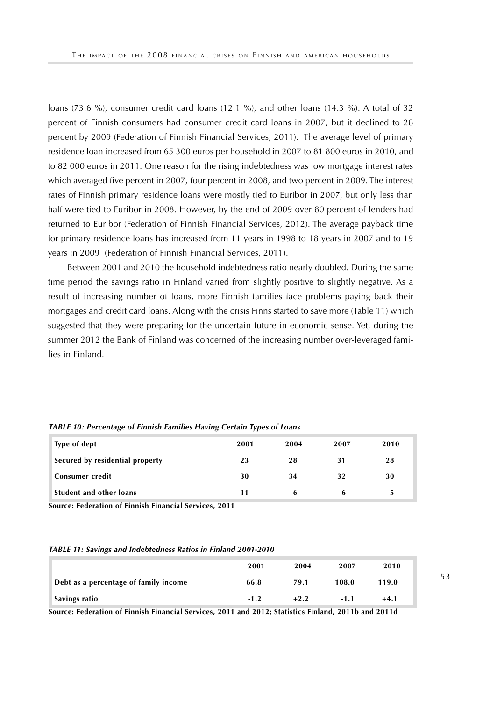loans (73.6 %), consumer credit card loans (12.1 %), and other loans (14.3 %). A total of 32 percent of Finnish consumers had consumer credit card loans in 2007, but it declined to 28 percent by 2009 (Federation of Finnish Financial Services, 2011). The average level of primary residence loan increased from 65 300 euros per household in 2007 to 81 800 euros in 2010, and to 82 000 euros in 2011. One reason for the rising indebtedness was low mortgage interest rates which averaged five percent in 2007, four percent in 2008, and two percent in 2009. The interest rates of Finnish primary residence loans were mostly tied to Euribor in 2007, but only less than half were tied to Euribor in 2008. However, by the end of 2009 over 80 percent of lenders had returned to Euribor (Federation of Finnish Financial Services, 2012). The average payback time for primary residence loans has increased from 11 years in 1998 to 18 years in 2007 and to 19 years in 2009 (Federation of Finnish Financial Services, 2011).

Between 2001 and 2010 the household indebtedness ratio nearly doubled. During the same time period the savings ratio in Finland varied from slightly positive to slightly negative. As a result of increasing number of loans, more Finnish families face problems paying back their mortgages and credit card loans. Along with the crisis Finns started to save more (Table 11) which suggested that they were preparing for the uncertain future in economic sense. Yet, during the summer 2012 the Bank of Finland was concerned of the increasing number over-leveraged families in Finland.

| Type of dept                    | 2001 | 2004 | 2007 | 2010 |
|---------------------------------|------|------|------|------|
| Secured by residential property | 23   | 28   | 31   | 28   |
| Consumer credit                 | 30   | 34   | 32   | 30   |
| Student and other loans         |      | h    | h    | 5    |

*TABLE 10: Percentage of Finnish Families Having Certain Types of Loans* 

**Source: Federation of Finnish Financial Services, 2011** 

#### *TABLE 11: Savings and Indebtedness Ratios in Finland 2001-2010*

|                                       | 2001   | 2004   | 2007   | 2010   |
|---------------------------------------|--------|--------|--------|--------|
| Debt as a percentage of family income | 66.8   | 79.1   | 108.0  | 119.0  |
| Savings ratio                         | $-1.2$ | $+2.2$ | $-1.1$ | $+4.1$ |

**Source: Federation of Finnish Financial Services, 2011 and 2012; Statistics Finland, 2011b and 2011d**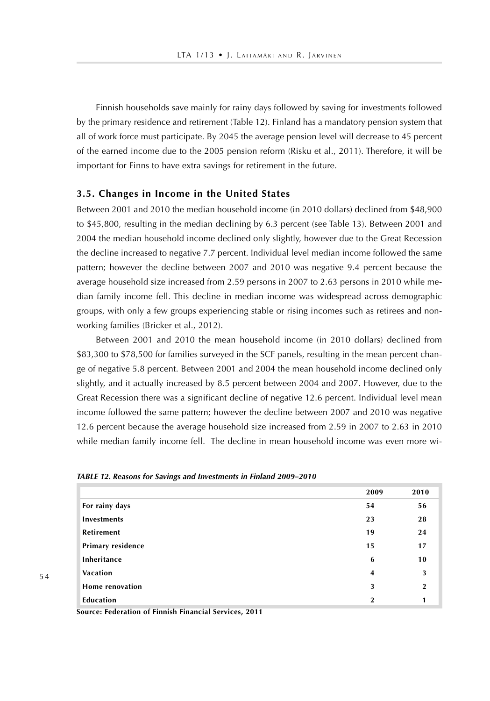Finnish households save mainly for rainy days followed by saving for investments followed by the primary residence and retirement (Table 12). Finland has a mandatory pension system that all of work force must participate. By 2045 the average pension level will decrease to 45 percent of the earned income due to the 2005 pension reform (Risku et al., 2011). Therefore, it will be important for Finns to have extra savings for retirement in the future.

#### **3.5. Changes in Income in the United States**

Between 2001 and 2010 the median household income (in 2010 dollars) declined from \$48,900 to \$45,800, resulting in the median declining by 6.3 percent (see Table 13). Between 2001 and 2004 the median household income declined only slightly, however due to the Great Recession the decline increased to negative 7.7 percent. Individual level median income followed the same pattern; however the decline between 2007 and 2010 was negative 9.4 percent because the average household size increased from 2.59 persons in 2007 to 2.63 persons in 2010 while median family income fell. This decline in median income was widespread across demographic groups, with only a few groups experiencing stable or rising incomes such as retirees and nonworking families (Bricker et al., 2012).

Between 2001 and 2010 the mean household income (in 2010 dollars) declined from \$83,300 to \$78,500 for families surveyed in the SCF panels, resulting in the mean percent change of negative 5.8 percent. Between 2001 and 2004 the mean household income declined only slightly, and it actually increased by 8.5 percent between 2004 and 2007. However, due to the Great Recession there was a significant decline of negative 12.6 percent. Individual level mean income followed the same pattern; however the decline between 2007 and 2010 was negative 12.6 percent because the average household size increased from 2.59 in 2007 to 2.63 in 2010 while median family income fell. The decline in mean household income was even more wi-

|                   | 2009           | 2010         |
|-------------------|----------------|--------------|
| For rainy days    | 54             | 56           |
| Investments       | 23             | 28           |
| <b>Retirement</b> | 19             | 24           |
| Primary residence | 15             | 17           |
| Inheritance       | 6              | 10           |
| Vacation          | $\overline{4}$ | 3            |
| Home renovation   | 3              | $\mathbf{2}$ |
| Education         | $\mathbf 2$    | 1            |

**Source: Federation of Finnish Financial Services, 2011**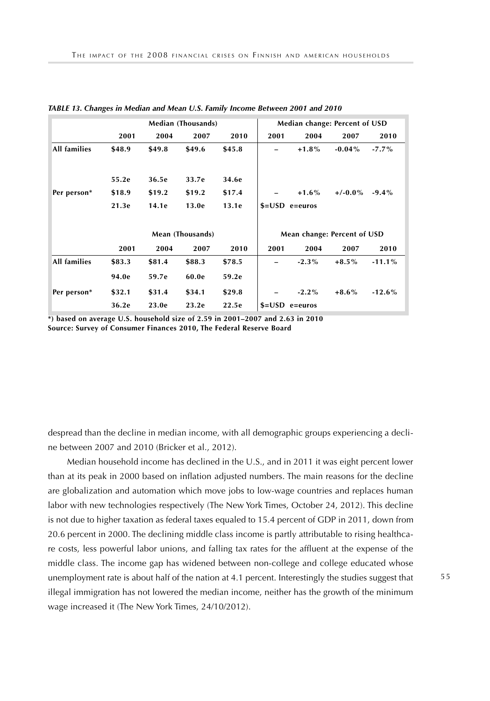|              | <b>Median (Thousands)</b> |        |        |        | Median change: Percent of USD |              |            |          |
|--------------|---------------------------|--------|--------|--------|-------------------------------|--------------|------------|----------|
|              | 2001                      | 2004   | 2007   | 2010   | 2001                          | 2004         | 2007       | 2010     |
| All families | \$48.9                    | \$49.8 | \$49.6 | \$45.8 |                               | $+1.8\%$     | $-0.04\%$  | $-7.7\%$ |
|              |                           |        |        |        |                               |              |            |          |
|              | 55.2e                     | 36.5e  | 33.7e  | 34.6e  |                               |              |            |          |
| Per person*  | \$18.9                    | \$19.2 | \$19.2 | \$17.4 |                               | $+1.6\%$     | $+/-0.0\%$ | $-9.4\%$ |
|              | 21.3e                     | 14.1e  | 13.0e  | 13.1e  | $$=$ USD e=euros              |              |            |          |
|              |                           |        |        |        |                               |              |            |          |
|              | Mean (Thousands)          |        |        |        | Mean change: Percent of USD   |              |            |          |
|              | 2001                      | 2004   | 2007   | 2010   | 2001                          | 2004         | 2007       | 2010     |
| All families | \$83.3                    | \$81.4 | \$88.3 | \$78.5 |                               | $-2.3\%$     | $+8.5\%$   | $-11.1%$ |
|              | 94.0e                     | 59.7e  | 60.0e  | 59.2e  |                               |              |            |          |
| Per person*  | \$32.1                    | \$31.4 | \$34.1 | \$29.8 |                               | $-2.2\%$     | $+8.6\%$   | $-12.6%$ |
|              | 36.2e                     | 23.0e  | 23.2e  | 22.5e  | $$=$ USD                      | $e = e$ uros |            |          |

*TABLE 13. Changes in Median and Mean U.S. Family Income Between 2001 and 2010*

**\*) based on average U.S. household size of 2.59 in 2001–2007 and 2.63 in 2010 Source: Survey of Consumer Finances 2010, The Federal Reserve Board** 

despread than the decline in median income, with all demographic groups experiencing a decline between 2007 and 2010 (Bricker et al., 2012).

Median household income has declined in the U.S., and in 2011 it was eight percent lower than at its peak in 2000 based on inflation adjusted numbers. The main reasons for the decline are globalization and automation which move jobs to low-wage countries and replaces human labor with new technologies respectively (The New York Times, October 24, 2012). This decline is not due to higher taxation as federal taxes equaled to 15.4 percent of GDP in 2011, down from 20.6 percent in 2000. The declining middle class income is partly attributable to rising healthcare costs, less powerful labor unions, and falling tax rates for the affluent at the expense of the middle class. The income gap has widened between non-college and college educated whose unemployment rate is about half of the nation at 4.1 percent. Interestingly the studies suggest that illegal immigration has not lowered the median income, neither has the growth of the minimum wage increased it (The New York Times, 24/10/2012).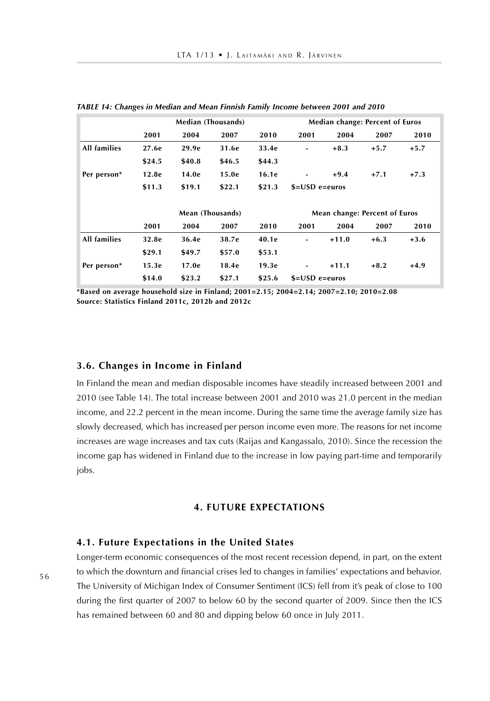|                     |        | <b>Median (Thousands)</b> |        |        | Median change: Percent of Euros |         |        |        |
|---------------------|--------|---------------------------|--------|--------|---------------------------------|---------|--------|--------|
|                     | 2001   | 2004                      | 2007   | 2010   | 2001                            | 2004    | 2007   | 2010   |
| <b>All families</b> | 27.6e  | 29.9e                     | 31.6e  | 33.4e  | $\blacksquare$                  | $+8.3$  | $+5.7$ | $+5.7$ |
|                     | \$24.5 | \$40.8                    | \$46.5 | \$44.3 |                                 |         |        |        |
| Per person*         | 12.8e  | 14.0e                     | 15.0e  | 16.1e  | $\blacksquare$                  | $+9.4$  | $+7.1$ | $+7.3$ |
|                     | \$11.3 | \$19.1                    | \$22.1 | \$21.3 | $$=$ USD e $=$ euros            |         |        |        |
|                     |        |                           |        |        |                                 |         |        |        |
|                     |        | Mean (Thousands)          |        |        | Mean change: Percent of Euros   |         |        |        |
|                     | 2001   | 2004                      | 2007   | 2010   | 2001                            | 2004    | 2007   | 2010   |
| <b>All families</b> | 32.8e  | 36.4e                     | 38.7e  | 40.1e  | ٠                               | $+11.0$ | $+6.3$ | $+3.6$ |
|                     | \$29.1 | \$49.7                    | \$57.0 | \$53.1 |                                 |         |        |        |
| Per person*         | 15.3e  | 17.0e                     | 18.4e  | 19.3e  | $\blacksquare$                  | $+11.1$ | $+8.2$ | $+4.9$ |
|                     | \$14.0 | \$23.2                    | \$27.1 | \$25.6 | $$=$ USD e $=$ euros            |         |        |        |

*TABLE 14: Changes in Median and Mean Finnish Family Income between 2001 and 2010*

**\*Based on average household size in Finland; 2001=2.15; 2004=2.14; 2007=2.10; 2010=2.08 Source: Statistics Finland 2011c, 2012b and 2012c**

#### **3.6. Changes in Income in Finland**

In Finland the mean and median disposable incomes have steadily increased between 2001 and 2010 (see Table 14). The total increase between 2001 and 2010 was 21.0 percent in the median income, and 22.2 percent in the mean income. During the same time the average family size has slowly decreased, which has increased per person income even more. The reasons for net income increases are wage increases and tax cuts (Raijas and Kangassalo, 2010). Since the recession the income gap has widened in Finland due to the increase in low paying part-time and temporarily jobs.

#### **4. FUTURE EXPECTATIONS**

#### **4.1. Future Expectations in the United States**

Longer-term economic consequences of the most recent recession depend, in part, on the extent to which the downturn and financial crises led to changes in families' expectations and behavior. The University of Michigan Index of Consumer Sentiment (ICS) fell from it's peak of close to 100 during the first quarter of 2007 to below 60 by the second quarter of 2009. Since then the ICS has remained between 60 and 80 and dipping below 60 once in July 2011.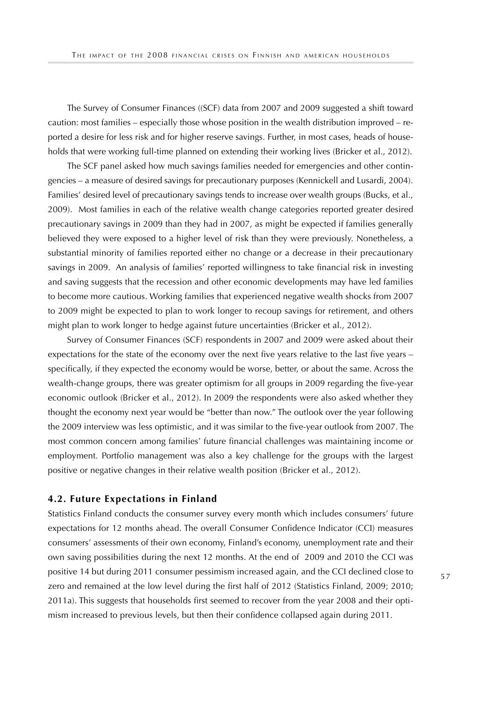The Survey of Consumer Finances ((SCF) data from 2007 and 2009 suggested a shift toward caution: most families – especially those whose position in the wealth distribution improved – reported a desire for less risk and for higher reserve savings. Further, in most cases, heads of households that were working full-time planned on extending their working lives (Bricker et al., 2012).

The SCF panel asked how much savings families needed for emergencies and other contingencies – a measure of desired savings for precautionary purposes (Kennickell and Lusardi, 2004). Families' desired level of precautionary savings tends to increase over wealth groups (Bucks, et al., 2009). Most families in each of the relative wealth change categories reported greater desired precautionary savings in 2009 than they had in 2007, as might be expected if families generally believed they were exposed to a higher level of risk than they were previously. Nonetheless, a substantial minority of families reported either no change or a decrease in their precautionary savings in 2009. An analysis of families' reported willingness to take financial risk in investing and saving suggests that the recession and other economic developments may have led families to become more cautious. Working families that experienced negative wealth shocks from 2007 to 2009 might be expected to plan to work longer to recoup savings for retirement, and others might plan to work longer to hedge against future uncertainties (Bricker et al., 2012).

Survey of Consumer Finances (SCF) respondents in 2007 and 2009 were asked about their expectations for the state of the economy over the next five years relative to the last five years – specifically, if they expected the economy would be worse, better, or about the same. Across the wealth-change groups, there was greater optimism for all groups in 2009 regarding the five-year economic outlook (Bricker et al., 2012). In 2009 the respondents were also asked whether they thought the economy next year would be "better than now." The outlook over the year following the 2009 interview was less optimistic, and it was similar to the five-year outlook from 2007. The most common concern among families' future financial challenges was maintaining income or employment. Portfolio management was also a key challenge for the groups with the largest positive or negative changes in their relative wealth position (Bricker et al., 2012).

### **4.2. Future Expectations in Finland**

Statistics Finland conducts the consumer survey every month which includes consumers' future expectations for 12 months ahead. The overall Consumer Confidence Indicator (CCI) measures consumers' assessments of their own economy, Finland's economy, unemployment rate and their own saving possibilities during the next 12 months. At the end of 2009 and 2010 the CCI was positive 14 but during 2011 consumer pessimism increased again, and the CCI declined close to zero and remained at the low level during the first half of 2012 (Statistics Finland, 2009; 2010; 2011a). This suggests that households first seemed to recover from the year 2008 and their optimism increased to previous levels, but then their confidence collapsed again during 2011.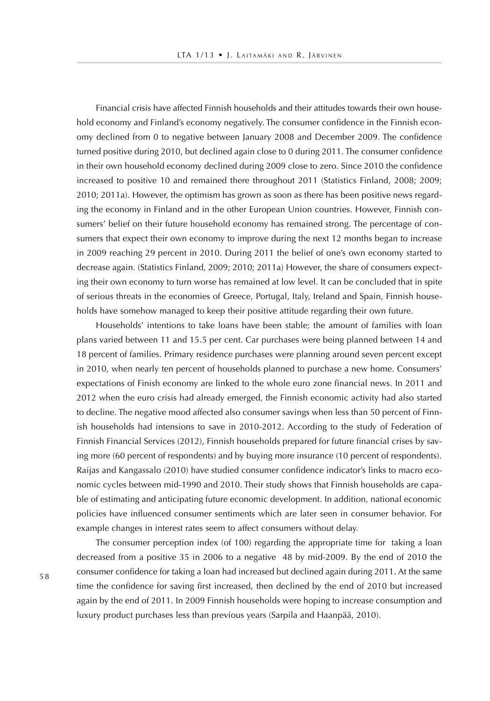Financial crisis have affected Finnish households and their attitudes towards their own household economy and Finland's economy negatively. The consumer confidence in the Finnish economy declined from 0 to negative between January 2008 and December 2009. The confidence turned positive during 2010, but declined again close to 0 during 2011. The consumer confidence in their own household economy declined during 2009 close to zero. Since 2010 the confidence increased to positive 10 and remained there throughout 2011 (Statistics Finland, 2008; 2009; 2010; 2011a). However, the optimism has grown as soon as there has been positive news regarding the economy in Finland and in the other European Union countries. However, Finnish consumers' belief on their future household economy has remained strong. The percentage of consumers that expect their own economy to improve during the next 12 months began to increase in 2009 reaching 29 percent in 2010. During 2011 the belief of one's own economy started to decrease again. (Statistics Finland, 2009; 2010; 2011a) However, the share of consumers expecting their own economy to turn worse has remained at low level. It can be concluded that in spite of serious threats in the economies of Greece, Portugal, Italy, Ireland and Spain, Finnish households have somehow managed to keep their positive attitude regarding their own future.

Households' intentions to take loans have been stable; the amount of families with loan plans varied between 11 and 15.5 per cent. Car purchases were being planned between 14 and 18 percent of families. Primary residence purchases were planning around seven percent except in 2010, when nearly ten percent of households planned to purchase a new home. Consumers' expectations of Finish economy are linked to the whole euro zone financial news. In 2011 and 2012 when the euro crisis had already emerged, the Finnish economic activity had also started to decline. The negative mood affected also consumer savings when less than 50 percent of Finnish households had intensions to save in 2010-2012. According to the study of Federation of Finnish Financial Services (2012), Finnish households prepared for future financial crises by saving more (60 percent of respondents) and by buying more insurance (10 percent of respondents). Raijas and Kangassalo (2010) have studied consumer confidence indicator's links to macro economic cycles between mid-1990 and 2010. Their study shows that Finnish households are capable of estimating and anticipating future economic development. In addition, national economic policies have influenced consumer sentiments which are later seen in consumer behavior. For example changes in interest rates seem to affect consumers without delay.

The consumer perception index (of 100) regarding the appropriate time for taking a loan decreased from a positive 35 in 2006 to a negative 48 by mid-2009. By the end of 2010 the consumer confidence for taking a loan had increased but declined again during 2011. At the same time the confidence for saving first increased, then declined by the end of 2010 but increased again by the end of 2011. In 2009 Finnish households were hoping to increase consumption and luxury product purchases less than previous years (Sarpila and Haanpää, 2010).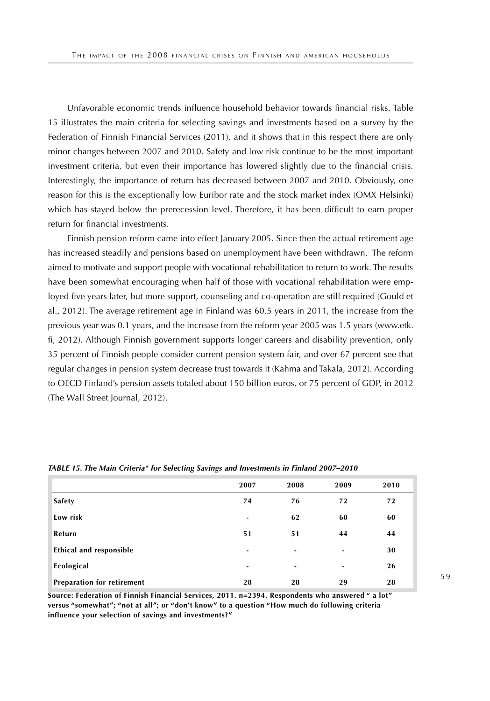Unfavorable economic trends influence household behavior towards financial risks. Table 15 illustrates the main criteria for selecting savings and investments based on a survey by the Federation of Finnish Financial Services (2011), and it shows that in this respect there are only minor changes between 2007 and 2010. Safety and low risk continue to be the most important investment criteria, but even their importance has lowered slightly due to the financial crisis. Interestingly, the importance of return has decreased between 2007 and 2010. Obviously, one reason for this is the exceptionally low Euribor rate and the stock market index (OMX Helsinki) which has stayed below the prerecession level. Therefore, it has been difficult to earn proper return for financial investments.

Finnish pension reform came into effect January 2005. Since then the actual retirement age has increased steadily and pensions based on unemployment have been withdrawn. The reform aimed to motivate and support people with vocational rehabilitation to return to work. The results have been somewhat encouraging when half of those with vocational rehabilitation were employed five years later, but more support, counseling and co-operation are still required (Gould et al., 2012). The average retirement age in Finland was 60.5 years in 2011, the increase from the previous year was 0.1 years, and the increase from the reform year 2005 was 1.5 years (www.etk. fi, 2012). Although Finnish government supports longer careers and disability prevention, only 35 percent of Finnish people consider current pension system fair, and over 67 percent see that regular changes in pension system decrease trust towards it (Kahma and Takala, 2012). According to OECD Finland's pension assets totaled about 150 billion euros, or 75 percent of GDP, in 2012 (The Wall Street Journal, 2012).

|                                   | 2007 | 2008 | 2009 | 2010 |
|-----------------------------------|------|------|------|------|
| Safety                            | 74   | 76   | 72   | 72   |
| Low risk                          | ۰    | 62   | 60   | 60   |
| Return                            | 51   | 51   | 44   | 44   |
| Ethical and responsible           | ۰    | ٠    | ٠    | 30   |
| Ecological                        | ۰    | ٠    | ٠    | 26   |
| <b>Preparation for retirement</b> | 28   | 28   | 29   | 28   |

#### *TABLE 15. The Main Criteria\* for Selecting Savings and Investments in Finland 2007–2010*

**Source: Federation of Finnish Financial Services, 2011. n=2394. Respondents who answered " a lot" versus "somewhat"; "not at all"; or "don't know" to a question "How much do following criteria influence your selection of savings and investments?"**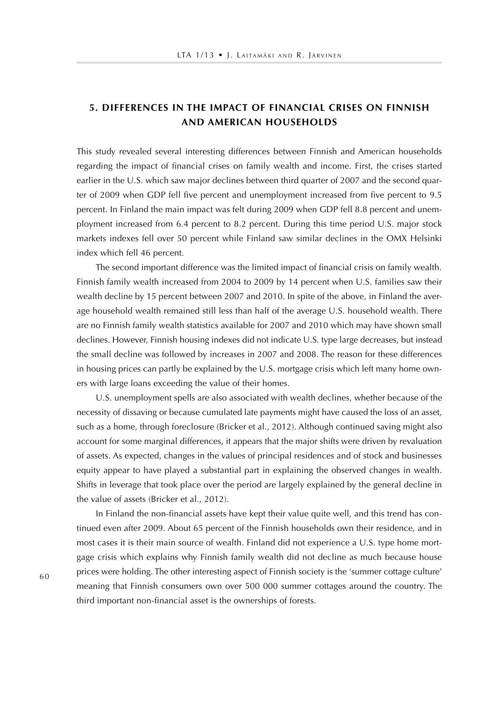# **5. DIFFERENCES IN THE IMPACT OF FINANCIAL CRISES ON FINNISH AND AMERICAN HOUSEHOLDS**

This study revealed several interesting differences between Finnish and American households regarding the impact of financial crises on family wealth and income. First, the crises started earlier in the U.S. which saw major declines between third quarter of 2007 and the second quarter of 2009 when GDP fell five percent and unemployment increased from five percent to 9.5 percent. In Finland the main impact was felt during 2009 when GDP fell 8.8 percent and unemployment increased from 6.4 percent to 8.2 percent. During this time period U.S. major stock markets indexes fell over 50 percent while Finland saw similar declines in the OMX Helsinki index which fell 46 percent.

The second important difference was the limited impact of financial crisis on family wealth. Finnish family wealth increased from 2004 to 2009 by 14 percent when U.S. families saw their wealth decline by 15 percent between 2007 and 2010. In spite of the above, in Finland the average household wealth remained still less than half of the average U.S. household wealth. There are no Finnish family wealth statistics available for 2007 and 2010 which may have shown small declines. However, Finnish housing indexes did not indicate U.S. type large decreases, but instead the small decline was followed by increases in 2007 and 2008. The reason for these differences in housing prices can partly be explained by the U.S. mortgage crisis which left many home owners with large loans exceeding the value of their homes.

U.S. unemployment spells are also associated with wealth declines, whether because of the necessity of dissaving or because cumulated late payments might have caused the loss of an asset, such as a home, through foreclosure (Bricker et al., 2012). Although continued saving might also account for some marginal differences, it appears that the major shifts were driven by revaluation of assets. As expected, changes in the values of principal residences and of stock and businesses equity appear to have played a substantial part in explaining the observed changes in wealth. Shifts in leverage that took place over the period are largely explained by the general decline in the value of assets (Bricker et al., 2012).

In Finland the non-financial assets have kept their value quite well, and this trend has continued even after 2009. About 65 percent of the Finnish households own their residence, and in most cases it is their main source of wealth. Finland did not experience a U.S. type home mortgage crisis which explains why Finnish family wealth did not decline as much because house prices were holding. The other interesting aspect of Finnish society is the 'summer cottage culture' meaning that Finnish consumers own over 500 000 summer cottages around the country. The third important non-financial asset is the ownerships of forests.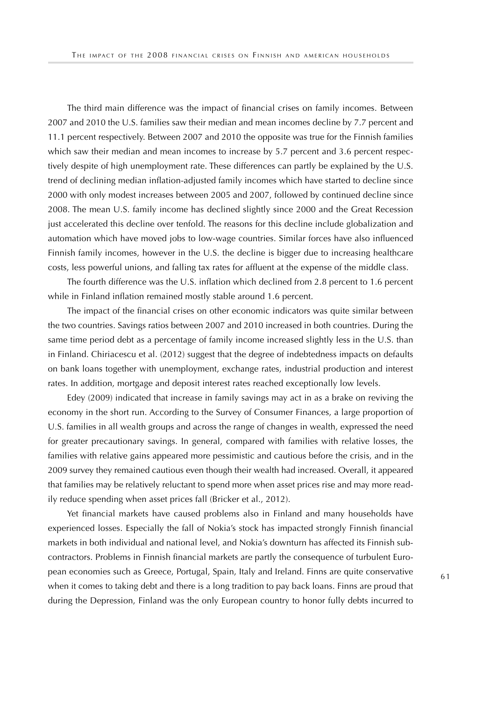The third main difference was the impact of financial crises on family incomes. Between 2007 and 2010 the U.S. families saw their median and mean incomes decline by 7.7 percent and 11.1 percent respectively. Between 2007 and 2010 the opposite was true for the Finnish families which saw their median and mean incomes to increase by 5.7 percent and 3.6 percent respectively despite of high unemployment rate. These differences can partly be explained by the U.S. trend of declining median inflation-adjusted family incomes which have started to decline since 2000 with only modest increases between 2005 and 2007, followed by continued decline since 2008. The mean U.S. family income has declined slightly since 2000 and the Great Recession just accelerated this decline over tenfold. The reasons for this decline include globalization and automation which have moved jobs to low-wage countries. Similar forces have also influenced Finnish family incomes, however in the U.S. the decline is bigger due to increasing healthcare costs, less powerful unions, and falling tax rates for affluent at the expense of the middle class.

The fourth difference was the U.S. inflation which declined from 2.8 percent to 1.6 percent while in Finland inflation remained mostly stable around 1.6 percent.

The impact of the financial crises on other economic indicators was quite similar between the two countries. Savings ratios between 2007 and 2010 increased in both countries. During the same time period debt as a percentage of family income increased slightly less in the U.S. than in Finland. Chiriacescu et al. (2012) suggest that the degree of indebtedness impacts on defaults on bank loans together with unemployment, exchange rates, industrial production and interest rates. In addition, mortgage and deposit interest rates reached exceptionally low levels.

Edey (2009) indicated that increase in family savings may act in as a brake on reviving the economy in the short run. According to the Survey of Consumer Finances, a large proportion of U.S. families in all wealth groups and across the range of changes in wealth, expressed the need for greater precautionary savings. In general, compared with families with relative losses, the families with relative gains appeared more pessimistic and cautious before the crisis, and in the 2009 survey they remained cautious even though their wealth had increased. Overall, it appeared that families may be relatively reluctant to spend more when asset prices rise and may more readily reduce spending when asset prices fall (Bricker et al., 2012).

Yet financial markets have caused problems also in Finland and many households have experienced losses. Especially the fall of Nokia's stock has impacted strongly Finnish financial markets in both individual and national level, and Nokia's downturn has affected its Finnish subcontractors. Problems in Finnish financial markets are partly the consequence of turbulent European economies such as Greece, Portugal, Spain, Italy and Ireland. Finns are quite conservative when it comes to taking debt and there is a long tradition to pay back loans. Finns are proud that during the Depression, Finland was the only European country to honor fully debts incurred to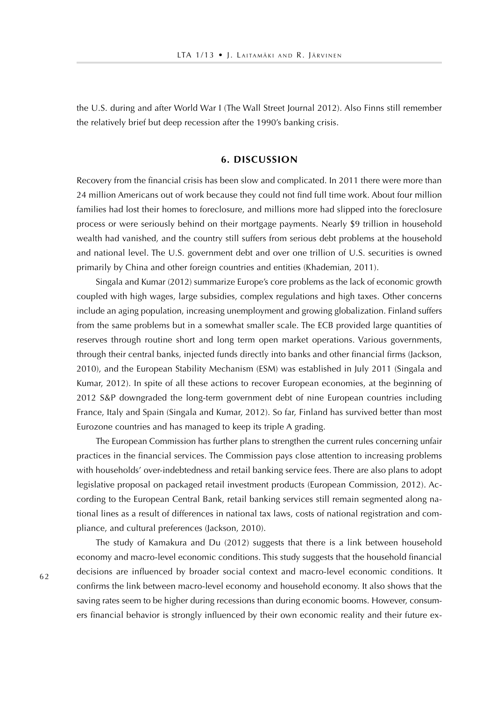the U.S. during and after World War I (The Wall Street Journal 2012). Also Finns still remember the relatively brief but deep recession after the 1990's banking crisis.

### **6. DISCUSSION**

Recovery from the financial crisis has been slow and complicated. In 2011 there were more than 24 million Americans out of work because they could not find full time work. About four million families had lost their homes to foreclosure, and millions more had slipped into the foreclosure process or were seriously behind on their mortgage payments. Nearly \$9 trillion in household wealth had vanished, and the country still suffers from serious debt problems at the household and national level. The U.S. government debt and over one trillion of U.S. securities is owned primarily by China and other foreign countries and entities (Khademian, 2011).

Singala and Kumar (2012) summarize Europe's core problems as the lack of economic growth coupled with high wages, large subsidies, complex regulations and high taxes. Other concerns include an aging population, increasing unemployment and growing globalization. Finland suffers from the same problems but in a somewhat smaller scale. The ECB provided large quantities of reserves through routine short and long term open market operations. Various governments, through their central banks, injected funds directly into banks and other financial firms (Jackson, 2010), and the European Stability Mechanism (ESM) was established in July 2011 (Singala and Kumar, 2012). In spite of all these actions to recover European economies, at the beginning of 2012 S&P downgraded the long-term government debt of nine European countries including France, Italy and Spain (Singala and Kumar, 2012). So far, Finland has survived better than most Eurozone countries and has managed to keep its triple A grading.

The European Commission has further plans to strengthen the current rules concerning unfair practices in the financial services. The Commission pays close attention to increasing problems with households' over-indebtedness and retail banking service fees. There are also plans to adopt legislative proposal on packaged retail investment products (European Commission, 2012). According to the European Central Bank, retail banking services still remain segmented along national lines as a result of differences in national tax laws, costs of national registration and compliance, and cultural preferences (Jackson, 2010).

The study of Kamakura and Du (2012) suggests that there is a link between household economy and macro-level economic conditions. This study suggests that the household financial decisions are influenced by broader social context and macro-level economic conditions. It confirms the link between macro-level economy and household economy. It also shows that the saving rates seem to be higher during recessions than during economic booms. However, consumers financial behavior is strongly influenced by their own economic reality and their future ex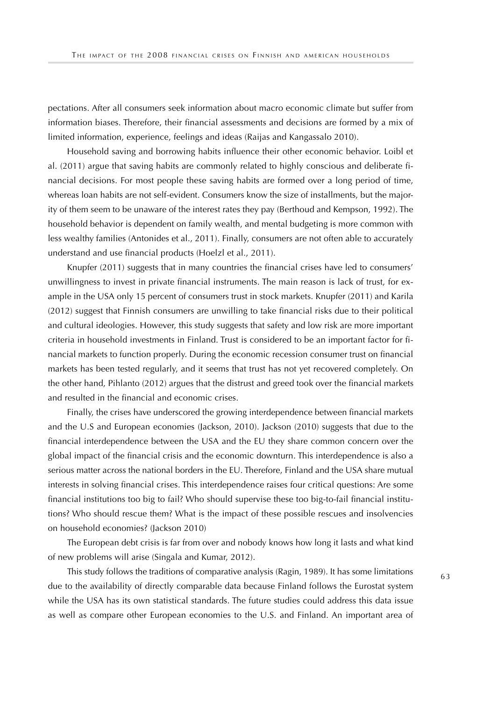pectations. After all consumers seek information about macro economic climate but suffer from information biases. Therefore, their financial assessments and decisions are formed by a mix of limited information, experience, feelings and ideas (Raijas and Kangassalo 2010).

Household saving and borrowing habits influence their other economic behavior. Loibl et al. (2011) argue that saving habits are commonly related to highly conscious and deliberate financial decisions. For most people these saving habits are formed over a long period of time, whereas loan habits are not self-evident. Consumers know the size of installments, but the majority of them seem to be unaware of the interest rates they pay (Berthoud and Kempson, 1992). The household behavior is dependent on family wealth, and mental budgeting is more common with less wealthy families (Antonides et al., 2011). Finally, consumers are not often able to accurately understand and use financial products (Hoelzl et al., 2011).

Knupfer (2011) suggests that in many countries the financial crises have led to consumers' unwillingness to invest in private financial instruments. The main reason is lack of trust, for example in the USA only 15 percent of consumers trust in stock markets. Knupfer (2011) and Karila (2012) suggest that Finnish consumers are unwilling to take financial risks due to their political and cultural ideologies. However, this study suggests that safety and low risk are more important criteria in household investments in Finland. Trust is considered to be an important factor for financial markets to function properly. During the economic recession consumer trust on financial markets has been tested regularly, and it seems that trust has not yet recovered completely. On the other hand, Pihlanto (2012) argues that the distrust and greed took over the financial markets and resulted in the financial and economic crises.

Finally, the crises have underscored the growing interdependence between financial markets and the U.S and European economies (Jackson, 2010). Jackson (2010) suggests that due to the financial interdependence between the USA and the EU they share common concern over the global impact of the financial crisis and the economic downturn. This interdependence is also a serious matter across the national borders in the EU. Therefore, Finland and the USA share mutual interests in solving financial crises. This interdependence raises four critical questions: Are some financial institutions too big to fail? Who should supervise these too big-to-fail financial institutions? Who should rescue them? What is the impact of these possible rescues and insolvencies on household economies? (Jackson 2010)

The European debt crisis is far from over and nobody knows how long it lasts and what kind of new problems will arise (Singala and Kumar, 2012).

This study follows the traditions of comparative analysis (Ragin, 1989). It has some limitations due to the availability of directly comparable data because Finland follows the Eurostat system while the USA has its own statistical standards. The future studies could address this data issue as well as compare other European economies to the U.S. and Finland. An important area of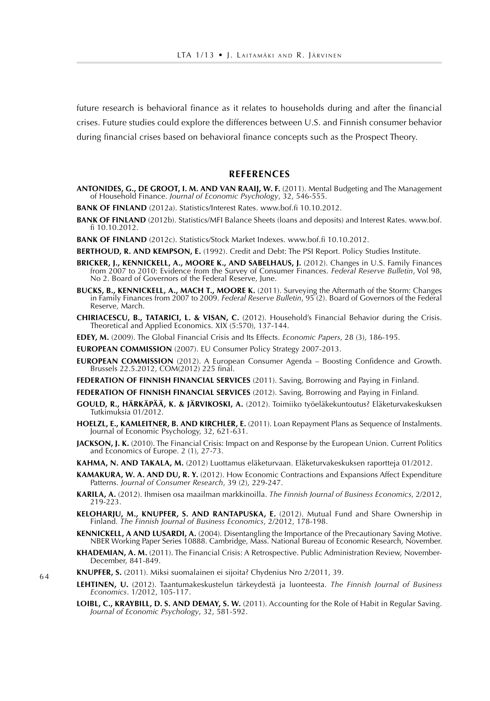future research is behavioral finance as it relates to households during and after the financial crises. Future studies could explore the differences between U.S. and Finnish consumer behavior during financial crises based on behavioral finance concepts such as the Prospect Theory.

#### **REFERENCES**

- **ANTONIDES, G., DE GROOT, I. M. AND VAN RAAIJ, W. F.** (2011). Mental Budgeting and The Management of Household Finance. *Journal of Economic Psychology*, 32, 546-555.
- **BANK OF FINLAND** (2012a). Statistics/Interest Rates. www.bof.fi 10.10.2012.
- **BANK OF FINLAND** (2012b). Statistics/MFI Balance Sheets (loans and deposits) and Interest Rates. www.bof. fi 10.10.2012.
- **BANK OF FINLAND** (2012c). Statistics/Stock Market Indexes. www.bof.fi 10.10.2012.
- **BERTHOUD, R. AND KEMPSON, E.** (1992). Credit and Debt: The PSI Report. Policy Studies Institute.
- **BRICKER, J., KENNICKELL, A., MOORE K., AND SABELHAUS, J.** (2012). Changes in U.S. Family Finances from 2007 to 2010: Evidence from the Survey of Consumer Finances. *Federal Reserve Bulletin*, Vol 98, No 2. Board of Governors of the Federal Reserve, June.
- **BUCKS, B., KENNICKELL, A., MACH T., MOORE K.** (2011). Surveying the Aftermath of the Storm: Changes in Family Finances from 2007 to 2009. *Federal Reserve Bulletin*, 95 (2). Board of Governors of the Federal Reserve, March.
- **CHIRIACESCU, B., TATARICI, L. & VISAN, C.** (2012). Household's Financial Behavior during the Crisis. Theoretical and Applied Economics. XIX (5:570), 137-144.
- **EDEY, M.** (2009). The Global Financial Crisis and Its Effects. *Economic Papers*, 28 (3), 186-195.
- **EUROPEAN COMMISSION** (2007). EU Consumer Policy Strategy 2007-2013.
- **EUROPEAN COMMISSION** (2012). A European Consumer Agenda Boosting Confidence and Growth. Brussels 22.5.2012, COM(2012) 225 final.
- **FEDERATION OF FINNISH FINANCIAL SERVICES** (2011). Saving, Borrowing and Paying in Finland.

**FEDERATION OF FINNISH FINANCIAL SERVICES** (2012). Saving, Borrowing and Paying in Finland.

- **GOULD, R., HÄRKÄPÄÄ, K. & JÄRVIKOSKI, A.** (2012). Toimiiko työeläkekuntoutus? Eläketurvakeskuksen Tutkimuksia 01/2012.
- **HOELZL, E., KAMLEITNER, B. AND KIRCHLER, E.** (2011). Loan Repayment Plans as Sequence of Instalments. Journal of Economic Psychology, 32, 621-631.
- **JACKSON, J. K.** (2010). The Financial Crisis: Impact on and Response by the European Union. Current Politics and Economics of Europe. 2 (1), 27-73.
- **KAHMA, N. AND TAKALA, M.** (2012) Luottamus eläketurvaan. Eläketurvakeskuksen raportteja 01/2012.
- **KAMAKURA, W. A. AND DU, R. Y.** (2012). How Economic Contractions and Expansions Affect Expenditure Patterns. *Journal of Consumer Research*, 39 (2), 229-247.
- **KARILA, A.** (2012). Ihmisen osa maailman markkinoilla. *The Finnish Journal of Business Economics*, 2/2012, 219-223.
- **KELOHARJU, M., KNUPFER, S. AND RANTAPUSKA, E.** (2012). Mutual Fund and Share Ownership in Finland. *The Finnish Journal of Business Economics*, 2/2012, 178-198.
- **KENNICKELL, A AND LUSARDI, A.** (2004). Disentangling the Importance of the Precautionary Saving Motive. NBER Working Paper Series 10888. Cambridge, Mass. National Bureau of Economic Research, November.
- **KHADEMIAN, A. M.** (2011). The Financial Crisis: A Retrospective. Public Administration Review, November-December, 841-849.
- **KNUPFER, S.** (2011). Miksi suomalainen ei sijoita? Chydenius Nro 2/2011, 39.
- **LEHTINEN, U.** (2012). Taantumakeskustelun tärkeydestä ja luonteesta. *The Finnish Journal of Business Economics*. 1/2012, 105-117.
- **LOIBL, C., KRAYBILL, D. S. AND DEMAY, S. W.** (2011). Accounting for the Role of Habit in Regular Saving. *Journal of Economic Psychology*, 32, 581-592.